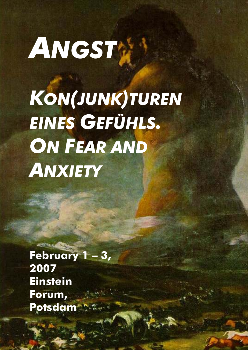# *ANGST KON(JUNK)TUREN EINES GEFÜHLS.* **ON FEAR AND** *ANXIETY*

**February 1 – 3, 2007 Einstein Forum, Potsdam**

**ACTIVE A CARD**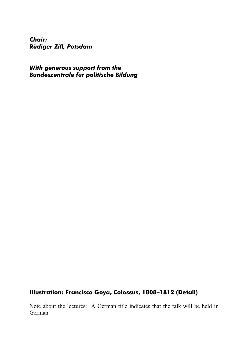*Chair: Rüdiger Zill, Potsdam* 

*With generous support from the Bundeszentrale für politische Bildung* 

# **Illustration: Francisco Goya, Colossus, 1808–1812 (Detail)**

Note about the lectures: A German title indicates that the talk will be held in German.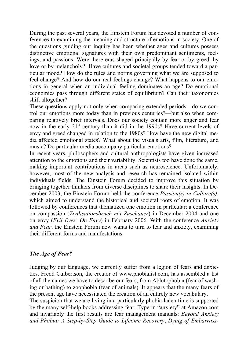During the past several years, the Einstein Forum has devoted a number of conferences to examining the meaning and structure of emotions in society. One of the questions guiding our inquiry has been whether ages and cultures possess distinctive emotional signatures with their own predominant sentiments, feelings, and passions. Were there eras shaped principally by fear or by greed, by love or by melancholy? Have cultures and societal groups tended toward a particular mood? How do the rules and norms governing what we are supposed to feel change? And how do our real feelings change? What happens to our emotions in general when an individual feeling dominates an age? Do emotional economies pass through different states of equilibrium? Can their taxonomies shift altogether?

These questions apply not only when comparing extended periods—do we control our emotions more today than in previous centuries?—but also when comparing relatively brief intervals. Does our society contain more anger and fear now in the early  $21<sup>st</sup>$  century than it did in the 1990s? Have current levels of envy and greed changed in relation to the 1980s? How have the new digital media affected emotional states? What about the visuals arts, film, literature, and music? Do particular media accompany particular emotions?

In recent years, philosophers and cultural anthropologists have given increased attention to the emotions and their variability. Scientists too have done the same, making important contributions in areas such as neuroscience. Unfortunately, however, most of the new analysis and research has remained isolated within individuals fields. The Einstein Forum decided to improve this situation by bringing together thinkers from diverse disciplines to share their insights. In December 2003, the Einstein Forum held the conference *Passion(s) in Culture(s)*, which aimed to understand the historical and societal roots of emotion. It was followed by conferences that thematized one emotion in particular: a conference on compassion (*Zivilisationsbruch mit Zuschauer*) in December 2004 and one on envy (*Evil Eyes: On Envy*) in February 2006. With the conference *Anxiety and Fear*, the Einstein Forum now wants to turn to fear and anxiety, examining their different forms and manifestations.

# *The Age of Fear?*

Judging by our language, we currently suffer from a legion of fears and anxieties. Fredd Culbertson, the creator of www.phobialist.com, has assembled a list of all the names we have to describe our fears, from Ablutophobia (fear of washing or bathing) to zoophobia (fear of animals). It appears that the many fears of the present age have necessitated the creation of an entirely new vocabulary. The suspicion that we are living in a particularly phobia-laden time is supported by the many self-help books addressing fear. Type in "anxiety" at Amazon.com and invariably the first results are fear management manuals: *Beyond Anxiety and Phobia: A Step-by-Step Guide to Lifetime Recovery*, *Dying of Embarrass-*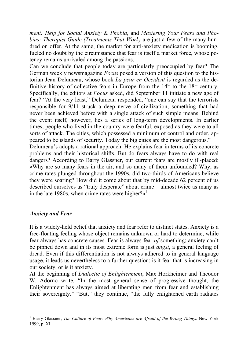*ment: Help for Social Anxiety & Phobia*, and *Mastering Your Fears and Phobias: Therapist Guide (Treatments That Work)* are just a few of the many hundred on offer. At the same, the market for anti-anxiety medication is booming, fueled no doubt by the circumstance that fear is itself a market force, whose potency remains unrivaled among the passions.

Can we conclude that people today are particularly preoccupied by fear? The German weekly newsmagazine *Focus* posed a version of this question to the historian Jean Delumeau, whose book *La peur en Occident* is regarded as the definitive history of collective fears in Europe from the  $14<sup>th</sup>$  to the  $18<sup>th</sup>$  century. Specifically, the editors at *Focus* asked, did September 11 initiate a new age of fear? "At the very least," Delumeau responded, "one can say that the terrorists responsible for 9/11 struck a deep nerve of civilization, something that had never been achieved before with a single attack of such simple means. Behind the event itself, however, lies a series of long-term developments. In earlier times, people who lived in the country were fearful, exposed as they were to all sorts of attack. The cities, which possessed a minimum of control and order, appeared to be islands of security. Today the big cities are the most dangerous."

Delumeau's adopts a rational approach. He explains fear in terms of its concrete problems and their historical shifts. But do fears always have to do with real dangers? According to Barry Glassner, our current fears are mostly ill-placed: »Why are so many fears in the air, and so many of them unfounded? Why, as crime rates plunged throughout the 1990s, did two-thirds of Americans believe they were soaring? How did it come about that by mid-decade 62 percent of us described ourselves as "truly desperate" about crime – almost twice as many as in the late [1](#page-3-0)980s, when crime rates were higher? $\kappa^1$ 

#### *Anxiety and Fear*

It is a widely-held belief that anxiety and fear refer to distinct states. Anxiety is a free-floating feeling whose object remains unknown or hard to determine, while fear always has concrete causes. Fear is always fear *of* something; anxiety can't be pinned down and in its most extreme form is just *angst*, a general feeling of dread. Even if this differentiation is not always adhered to in general language usage, it leads us nevertheless to a further question: is it fear that is increasing in our society, or is it anxiety.

At the beginning of *Dialectic of Enlightenment*, Max Horkheimer and Theodor W. Adorno write, "In the most general sense of progressive thought, the Enlightenment has always aimed at liberating men from fear and establishing their sovereignty." "But," they continue, "the fully enlightened earth radiates

<span id="page-3-0"></span> 1 Barry Glassner, *The Culture of Fear: Why Americans are Afraid of the Wrong Things*. New York 1999, p. XI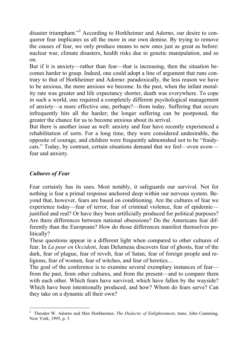disaster triumphant."<sup>[2](#page-4-0)</sup> According to Horkheimer and Adorno, our desire to conqueror fear implicates us all the more in our own demise. By trying to remove the causes of fear, we only produce means to new ones just as great as before: nuclear war, climate disasters, health risks due to genetic manipulation, and so on.

But if it is anxiety—rather than fear—that is increasing, then the situation becomes harder to grasp. Indeed, one could adopt a line of argument that runs contrary to that of Horkheimer and Adorno: paradoxically, the less reason we have to be anxious, the more anxious we become. In the past, when the infant morality rate was greater and life expectancy shorter, death was everywhere. To cope in such a world, one required a completely different psychological management of anxiety—a more effective one, perhaps?—from today. Suffering that occurs infrequently hits all the harder; the longer suffering can be postponed, the greater the chance for us to become anxious about its arrival.

But there is another issue as well: anxiety and fear have recently experienced a rehabilitation of sorts. For a long time, they were considered undesirable, the opposite of courage, and children were frequently admonished not to be "fraidycats." Today, by contrast, certain situations demand that we feel—even avow fear and anxiety.

# *Cultures of Fear*

Fear certainly has its uses. Most notably, it safeguards our survival. Not for nothing is fear a primal response anchored deep within our nervous system. Beyond that, however, fears are based on conditioning. Are the cultures of fear we experience today—fear of terror, fear of criminal violence, fear of epidemic justified and real? Or have they been artificially produced for political purposes? Are there differences between national obsessions? Do the Americans fear differently than the Europeans? How do those differences manifest themselves politically?

These questions appear in a different light when compared to other cultures of fear. In *La peur en Occident*, Jean Delumeau discovers fear of ghosts, fear of the dark, fear of plague, fear of revolt, fear of Satan, fear of foreign people and religions, fear of women, fear of witches, and fear of heretics…

The goal of the conference is to examine several exemplary instances of fear from the past, from other cultures, and from the present—and to compare them with each other. Which fears have survived, which have fallen by the wayside? Which have been intentionally produced, and how? Whom do fears serve? Can they take on a dynamic all their own?

<span id="page-4-0"></span>l 2 Theodor W. Adorno and Max Horkheimer, *The Dialectic of Enlightenment*, trans. John Cumming, New York, 1995, p. 3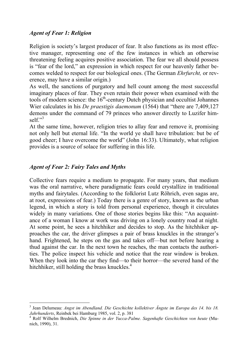# *Agent of Fear 1: Religion*

Religion is society's largest producer of fear. It also functions as its most effective manager, representing one of the few instances in which an otherwise threatening feeling acquires positive association. The fear we all should possess is "fear of the lord," an expression in which respect for our heavenly father becomes welded to respect for our biological ones. (The German *Ehrfurcht,* or reverence, may have a similar origin.)

As well, the sanctions of purgatory and hell count among the most successful imaginary places of fear. They even retain their power when examined with the tools of modern science: the  $16<sup>th</sup>$ -century Dutch physician and occultist Johannes Wier calculates in his *De praestigis daemonum* (1564) that "there are 7,409,127 demons under the command of 79 princes who answer directly to Luzifer himself." $3$ 

At the same time, however, religion tries to allay fear and remove it, promising not only hell but eternal life. "In the world ye shall have tribulation: but be of good cheer; I have overcome the world" (John 16:33). Ultimately, what religion provides is a source of solace for suffering in this life.

# *Agent of Fear 2: Fairy Tales and Myths*

 $\overline{a}$ 

Collective fears require a medium to propagate. For many years, that medium was the oral narrative, where paradigmatic fears could crystallize in traditional myths and fairytales. (According to the folklorist Lutz Röhrich, even sagas are, at root, expressions of fear.) Today there is a genre of story, known as the urban legend, in which a story is told from personal experience, though it circulates widely in many variations. One of those stories begins like this: "An acquaintance of a woman I know at work was driving on a lonely country road at night. At some point, he sees a hitchhiker and decides to stop. As the hitchhiker approaches the car, the driver glimpses a pair of brass knuckles in the stranger's hand. Frightened, he steps on the gas and takes of f—but not before hearing a thud against the car. In the next town he reaches, the man contacts the authorities. The police inspect his vehicle and notice that the rear window is broken. When they look into the car they find—to their horror—the severed hand of the hitchhiker, still holding the brass knuckles. $4$ 

<span id="page-5-0"></span><sup>3</sup> Jean Delumeau: *Angst im Abendland. Die Geschichte kollektiver Ängste im Europa des 14. bis 18. Jahrhunderts*, Reinbek bei Hamburg 1985, vol. 2, p. 381

<span id="page-5-1"></span><sup>4</sup> Rolf Wilhelm Brednich, *Die Spinne in der Yucca-Palme. Sagenhafte Geschichten von heute* (Munich, 1990), 31.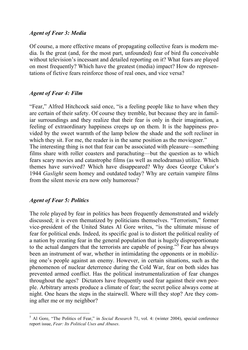#### *Agent of Fear 3: Media*

Of course, a more effective means of propagating collective fears is modern media. Is the great (and, for the most part, unfounded) fear of bird flu conceivable without television's incessant and detailed reporting on it? What fears are played on most frequently? Which have the greatest (media) impact? How do representations of fictive fears reinforce those of real ones, and vice versa?

#### *Agent of Fear 4: Film*

"Fear," Alfred Hitchcock said once, "is a feeling people like to have when they are certain of their safety. Of course they tremble, but because they are in familiar surroundings and they realize that their fear is only in their imagination, a feeling of extraordinary happiness creeps up on them. It is the happiness provided by the sweet warmth of the lamp below the shade and the soft recliner in which they sit. For me, the reader is in the same position as the moviegoer."

The interesting thing is not that fear can be associated with pleasure—something films share with roller coasters and parachuting—but the question as to which fears scary movies and catastrophe films (as well as melodramas) utilize. Which themes have survived? Which have disappeared? Why does George Cukor's 1944 *Gaslight* seem homey and outdated today? Why are certain vampire films from the silent movie era now only humorous?

#### *Agent of Fear 5: Politics*

-

The role played by fear in politics has been frequently demonstrated and widely discussed; it is even thematized by politicians themselves. "Terrorism," former vice-president of the United States Al Gore writes, "is the ultimate misuse of fear for political ends. Indeed, its specific goal is to distort the political reality of a nation by creating fear in the general population that is hugely disproportionate to the actual dangers that the terrorists are capable of posing."<sup>[5](#page-6-0)</sup> Fear has always been an instrument of war, whether in intimidating the opponents or in mobilizing one's people against an enemy. However, in certain situations, such as the phenomenon of nuclear deterrence during the Cold War, fear on both sides has prevented armed conflict. Has the political instrumentalization of fear changes throughout the ages? Dictators have frequently used fear against their own people. Arbitrary arrests produce a climate of fear; the secret police always come at night. One hears the steps in the stairwell. Where will they stop? Are they coming after me or my neighbor?

<span id="page-6-0"></span><sup>5</sup> Al Gore, "The Politics of Fear," in *Social Research* 71, vol. 4: (winter 2004), special conference report issue, *Fear: Its Political Uses and Abuses*.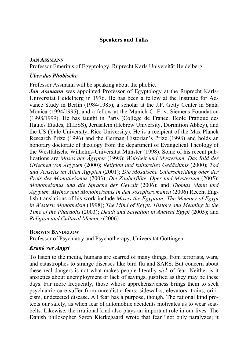#### **Speakers and Talks**

#### **JAN ASSMANN**

Professor Emeritus of Egyptology, Ruprecht Karls Universität Heidelberg

#### *Über das Phobische*

Professor Assmann will be speaking about the phobic.

*Jan Assmann* was appointed Professor of Egyptology at the Ruprecht Karls-Universität Heidelberg in 1976. He has been a fellow at the Institute for Advance Study in Berlin (1984/1985), a scholar at the J.P. Getty Center in Santa Monica (1994/1995), and a fellow at the Munich C. F. v. Siemens Foundation (1998/1999). He has taught in Paris (Collège de France, Ecole Pratique des Hautes Etudes, EHESS), Jerusalem (Hebrew University, Dormition Abbey), and the US (Yale University, Rice University). He is a recipient of the Max Planck Research Prize (1996) and the German Historian's Prize (1998) and holds an honorary doctorate of theology from the department of Evangelical Theology of the Westfälische Wilhelms-Universität Münster (1998). Some of his recent publications are *Moses der Ägypter* (1998); *Weisheit und Mysterium. Das Bild der Griechen von Ägypten* (2000); *Religion und kulturelles Gedächtnis* (2000); *Tod und Jenseits im Alten Ägypten* (2001); *Die Mosaische Unterscheidung oder der Preis des Monotheismus* (2003); *Die Zauberflöte. Oper und Mysterium* (2005); *M[onotheismus und die Sprache der Gewalt](http://www.amazon.de/Monotheismus-die-Sprache-Gewalt/dp/3854525168/sr=8-8/qid=1156859373/ref=sr_1_8/302-2000438-6904049?ie=UTF8&s=gateway)* (2006); and *Thomas Mann und Ägypten. Mythos und Monotheismus in den Josephsromanen* (2006) Recent English translations of his work include *Moses the Egyptian: The Memory of Egypt in Western Monotheism* (1998); *The Mind of Egypt: History and Meaning in the Time of the Pharaohs* (2003); *Death and Salvation in Ancient Egypt* (2005); and *Religion and Cultural Memory* (2006)

#### **BORWIN BANDELOW**

Professor of Psychiatry and Psychotherapy, Universität Göttingen

# *Krank vor Angst*

To listen to the media, humans are scarred of many things, from terrorists, wars, and catastrophes to strange diseases like bird flu and SARS. But concern about these real dangers is not what makes people literally *sick* of fear. Neither is it anxieties about unemployment or lack of savings, justified as they may be these days. Far more frequently, those whose apprehensiveness brings them to seek psychiatric care suffer from unrealistic fears: sidewalks, elevators, trains, criticism, undetected disease. All fear has a purpose, though. The rational kind protects our safety, as when fear of automobile accidents motivates us to wear seatbelts. Likewise, the irrational kind also plays an important role in our lives. The Danish philosopher Søren Kierkegaard wrote that fear "not only paralyzes; it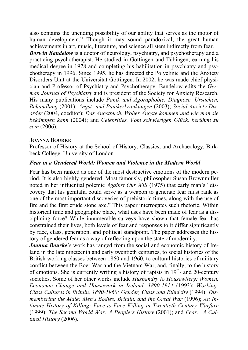also contains the unending possibility of our ability that serves as the motor of human development." Though it may sound paradoxical, the great human achievements in art, music, literature, and science all stem indirectly from fear.

*Borwin Bandelow* is a doctor of neurology, psychiatry, and psychotherapy and a practicing psychotherapist. He studied in Göttingen and Tübingen, earning his medical degree in 1978 and completing his habilitation in psychiatry and psychotherapy in 1996. Since 1995, he has directed the Polyclinic and the Anxiety Disorders Unit at the Universität Göttingen. In 2002, he was made chief physician and Professor of Psychiatry and Psychotherapy. Bandelow edits the *German Journal of Psychiatry* and is president of the Society for Anxiety Research. His many publications include *Panik und Agoraphobie. Diagnose, Ursachen, Behandlung* (2001); *Angst- und Panikerkrankungen* (2003); *Social Anxiety Disorder* (2004, coeditor); *Das Angstbuch. Woher Ängste kommen und wie man sie bekämpfen kann* (2004); and *Celebrities. Vom schwierigen Glück, berühmt zu sein* (2006).

#### **JOANNA BOURKE**

Professor of History at the School of History, Classics, and Archaeology, Birkbeck College, University of London

# *Fear in a Gendered World: Women and Violence in the Modern World*

Fear has been ranked as one of the most destructive emotions of the modern period. It is also highly gendered. Most famously, philosopher Susan Brownmiller noted in her influential polemic *Against Our Will* (1975) that early man's "discovery that his genitalia could serve as a weapon to generate fear must rank as one of the most important discoveries of prehistoric times, along with the use of fire and the first crude stone axe." This paper interrogates such rhetoric. Within historical time and geographic place, what uses have been made of fear as a disciplining force? While innumerable surveys have shown that female fear has constrained their lives, both levels of fear and responses to it differ significantly by race, class, generation, and political standpoint. The paper addresses the history of gendered fear as a way of reflecting upon the state of modernity.

*Joanna Bourke*'s work has ranged from the social and economic history of Ireland in the late nineteenth and early twentieth centuries, to social histories of the British working classes between 1860 and 1960, to cultural histories of military conflict between the Boer War and the Vietnam War, and, finally, to the history of emotions. She is currently writing a history of rapists in  $19<sup>th</sup>$  and 20-century societies. Some of her other works include *Husbandry to Housewifery: Women, Economic Change and Housework in Ireland, 1890-1914* (1993); *Working-Class Cultures in Britain, 1890-1960: Gender, Class and Ethnicity* (1994); *Dismembering the Male: Men's Bodies, Britain, and the Great War* (1996); *An Intimate History of Killing: Face-to-Face Killing in Twentieth Century Warfare* (1999); *The Second World War: A People's History* (2001); and *F[ear: A Cul](http://www.amazon.de/exec/obidos/ASIN/1844081567/sr=8-1/qid=1153474892/ref=sr_1_1/028-7235242-0437353?%5Fencoding=UTF8&s=gateway&v=glance)[tural History](http://www.amazon.de/exec/obidos/ASIN/1844081567/sr=8-1/qid=1153474892/ref=sr_1_1/028-7235242-0437353?%5Fencoding=UTF8&s=gateway&v=glance)* (2006).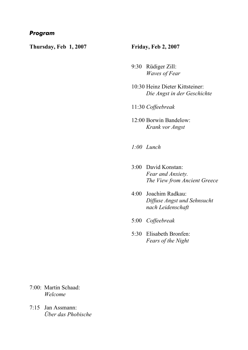#### *Program*

**Thursday, Feb 1, 2007** 

#### **Friday, Feb 2, 2007**

- 9:30 Rüdiger Zill: *Waves of Fear*
- 10:30 Heinz Dieter Kittsteiner: *Die Angst in der Geschichte*
- 11:30 *Coffeebreak*
- 12:00 Borwin Bandelow: *Krank vor Angst*
- *1:00 Lunch*
- 3:00 David Konstan: *Fear and Anxiety. The View from Ancient Greece*
- 4:00 Joachim Radkau: *Diffuse Angst und Sehnsucht nach Leidenschaft*
- 5:00 *Coffeebreak*
- 5:30 Elisabeth Bronfen: *Fears of the Night*

- 7:00: Martin Schaad: *Welcome*
- 7:15 Jan Assmann: *Über das Phobische*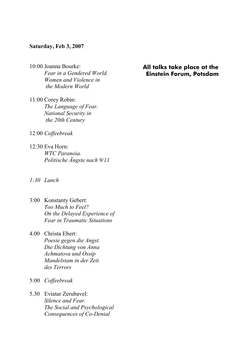#### **Saturday, Feb 3, 2007**

- 10:00 Joanna Bourke: *Fear in a Gendered World. Women and Violence in the Modern World*
- 11:00 Corey Robin: *The Language of Fear. National Security in the 20th Century*
- 12:00 *Coffeebreak*
- 12:30 Eva Horn: *WTC Paranoia. Politische Ängste nach 9/11*
- *1:30 Lunch*
- 3:00 Konstanty Gebert: *Too Much to Feel? On the Delayed Experience of Fear in Traumatic Situations*
- 4.00 Christa Ebert: *Poesie gegen die Angst. Die Dichtung von Anna Achmatova und Ossip Mandelstam in der Zeit des Terrors*
- 5:00 *Coffeebreak*
- 5.30 Eviatar Zerubavel: *Silence and Fear. The Social and Psychological Consequences of Co-Denial*

#### **All talks take place at the Einstein Forum, Potsdam**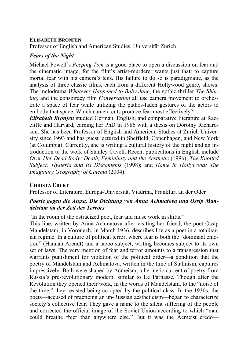#### **ELISABETH BRONFEN**

Professor of English and American Studies, Universität Zürich

#### *Fears of the Night*

Michael Powell's *Peeping Tom* is a good place to open a discussion on fear and the cinematic image, for the film's artist-murderer wants just that: to capture mortal fear with his camera's lens. His failure to do so is paradigmatic, as the analysis of three classic films, each from a different Hollywood genre, shows. The melodrama *Whatever Happened to Baby Jane*, the gothic thriller *The Shining*, and the conspiracy film *Conversation* all use camera movement to orchestrate a space of fear while utilizing the pathos-laden gestures of the actors to embody that space. Which camera cuts produce fear most effectively?

*Elisabeth Bronfen* studied German, English, and comparative literature at Radcliffe and Harvard, earning her PhD in 1986 with a thesis on Dorothy Richardson. She has been Professor of English and American Studies at Zurich University since 1993 and has guest lectured in Sheffield, Copenhagen, and New York (at Columbia). Currently, she is writing a cultural history of the night and an introduction to the work of Stanley Cavell. Recent publications in English include *Over Her Dead Body: Death, Femininity and the Aesthetic (1996); The Knotted Subject: Hysteria and its Discontents* (1998); and *Home in Hollywood: The Imaginary Geography of Cinema* (2004).

#### **CHRISTA EBERT**

Professor of Literature, Europa-Universität Viadrina, Frankfurt an der Oder

# *Poesie gegen die Angst. Die Dichtung von Anna Achmatova und Ossip Mandelstam im der Zeit des Terrors*

"In the room of the ostracized poet, fear and muse work in shifts."

This line, written by Anna Achmatova after visiting her friend, the poet Ossip Mandelstam, in Voronezh, in March 1936, describes life as a poet in a totalitarian regime. In a culture of political terror, where fear is both the "dominant emotion" (Hannah Arendt) and a taboo subject, writing becomes subject to its own set of laws. The very mention of fear and terror amounts to a transgression that warrants punishment for violation of the political order—a condition that the poetry of Mandelstam and Achmatova, written in the time of Stalinism, captures impressively. Both were shaped by Acmeism, a hermetic current of poetry from Russia's pre-revolutionary modern, similar to Le Parnasse. Though after the Revolution they opened their work, in the words of Mandelstam, to the "noise of the time," they resisted being co-opted by the political class. In the 1930s, the poets—accused of practicing an un-Russian aestheticism—began to characterize society's collective fear. They gave a name to the silent suffering of the people and corrected the official image of the Soviet Union according to which "man could breathe freer than anywhere else." But it was the Acmeist credo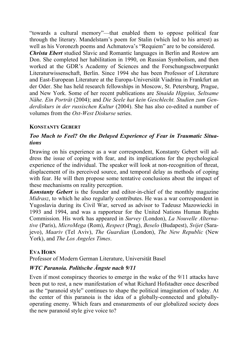"towards a cultural memory"—that enabled them to oppose political fear through the literary. Mandelstam's poem for Stalin (which led to his arrest) as well as his Voronezh poems and Achmatova's "Requiem" are to be considered.

*Christa Ebert* studied Slavic and Romantic languages in Berlin and Rostow am Don. She completed her habilitation in 1990, on Russian Symbolism, and then worked at the GDR's Academy of Sciences and the Forschungsschwerpunkt Literaturwissenschaft, Berlin. Since 1994 she has been Professor of Literature and East-European Literature at the Europa-Universität Viadrina in Frankfurt an der Oder. She has held research fellowships in Moscow, St. Petersburg, Prague, and New York. Some of her recent publications are *Sinaida Hippius, Seltsame Nähe. Ein Porträt* (2004); and *Die Seele hat kein Geschlecht. Studien zum Genderdiskurs in der russischen Kultur* (2004). She has also co-edited a number of volumes from the *Ost-West Diskurse* series.

# **KONSTANTY GEBERT**

# *Too Much to Feel? On the Delayed Experience of Fear in Traumatic Situations*

Drawing on his experience as a war correspondent, Konstanty Gebert will address the issue of coping with fear, and its implications for the psychological experience of the individual. The speaker will look at non-recognition of threat, displacement of its perceived source, and temporal delay as methods of coping with fear. He will then propose some tentative conclusions about the impact of these mechanisms on reality perception.

*Konstanty Gebert* is the founder and editor-in-chief of the monthly magazine *Midrasz*, to which he also regularly contributes. He was a war correspondent in Yugoslavia during its Civil War, served as advisor to Tadeusz Mazowiecki in 1993 and 1994, and was a rapporteur for the United Nations Human Rights Commission. His work has appeared in *Survey* (London), *La Nouvelle Alternative* (Paris), *MicroMega* (Rom), *Respect* (Prag), *Beselo* (Budapest), *Svijet* (Sarajevo), *Maariv* (Tel Aviv), *The Guardian* (London), *The New Republic* (New York), and *The Los Angeles Times*.

#### **EVA HORN**

Professor of Modern German Literature, Universität Basel

# *WTC Paranoia. Politische Ängste nach 9/11*

Even if most conspiracy theories to emerge in the wake of the 9/11 attacks have been put to rest, a new manifestation of what Richard Hofstadter once described as the "paranoid style" continues to shape the political imagination of today. At the center of this paranoia is the idea of a globally-connected and globallyoperating enemy. Which fears and ensnarements of our globalized society does the new paranoid style give voice to?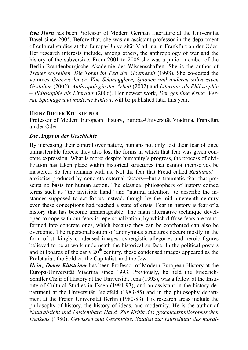*Eva Horn* has been Professor of Modern German Literature at the Universität Basel since 2005. Before that, she was an assistant professor in the department of cultural studies at the Europa-Universität Viadrina in Frankfurt an der Oder. Her research interests include, among others, the anthropology of war and the history of the subversive. From 2001 to 2006 she was a junior member of the Berlin-Brandenburgische Akademie der Wissenschaften. She is the author of *Trauer schreiben. Die Toten im Text der Goethezeit* (1998). She co-edited the volumes *Grenzverletzer. Von Schmugglern, Spionen und anderen subversiven Gestalten* (2002), *Anthropologie der Arbeit* (2002) and *Literatur als Philosophie – Philosophie als Literatur* (2006). Her newest work, *Der geheime Krieg. Verrat, Spionage und moderne Fiktion*, will be published later this year.

# **HEINZ DIETER KITTSTEINER**

Professor of Modern European History, Europa-Universität Viadrina, Frankfurt an der Oder

# *Die Angst in der Geschichte*

By increasing their control over nature, humans not only lost their fear of once unmasterable forces; they also lost the forms in which that fear was given concrete expression. What is more: despite humanity's progress, the process of civilization has taken place within historical structures that cannot themselves be mastered. So fear remains with us. Not the fear that Freud called *Realangst* anxieties produced by concrete external factors—but a traumatic fear that presents no basis for human action. The classical philosophers of history coined terms such as "the invisible hand" and "natural intention" to describe the instances supposed to act for us instead, though by the mid-nineteenth century even these conceptions had reached a state of crisis. Fear in history is fear of a history that has become unmanageable. The main alternative technique developed to cope with our fears is repersonalization, by which diffuse fears are transformed into concrete ones, which because they can be confronted can also be overcome. The repersonalization of anonymous structures occurs mostly in the form of strikingly condensed images: synergistic allegories and heroic figures believed to be at work underneath the historical surface. In the political posters and billboards of the early  $20<sup>th</sup>$  century, these condensed images appeared as the Proletariat, the Soldier, the Capitalist, and the Jew.

*Heinz Dieter Kittsteiner* has been Professor of Modern European History at the Europa-Universität Viadrina since 1993. Previously, he held the Friedrich-Schiller Chair of History at the Universität Jena (1993), was a fellow at the Institute of Cultural Studies in Essen (1991-93), and an assistant in the history department at the Universität Bielefeld (1983-85) and in the philosophy department at the Freien Universität Berlin (1980-83). His research areas include the philosophy of history, the history of ideas, and modernity. He is the author of *Naturabsicht und Unsichtbare Hand. Zur Kritik des geschichtsphilosophischen Denkens* (1980); *Gewissen und Geschichte. Studien zur Entstehung des moral-*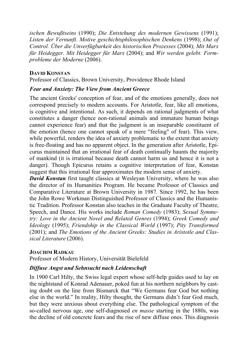*ischen Bewußtseins* (1990); *Die Entstehung des modernen Gewissens* (1991); *Listen der Vernunft. Motive geschichtsphilosophischen Denkens* (1998); *Out of Control. Über die Unverfügbarkeit des historischen Prozesses* (2004); *Mit Marx für Heidegger. Mit Heidegger für Marx* (2004); and *Wir werden gelebt. Formprobleme der Moderne* (2006).

#### **DAVID KONSTAN**

Professor of Classics, Brown University, Providence Rhode Island

#### *Fear and Anxiety: The View from Ancient Greece*

The ancient Greeks' conception of fear, and of the emotions generally, does not correspond precisely to modern accounts. For Aristotle, fear, like all emotions, is cognitive and intentional. As such, it depends on rational judgments of what constitutes a danger (hence non-rational animals and immature human beings cannot experience fear) and that the judgment is an inseparable constituent of the emotion (hence one cannot speak of a mere "feeling" of fear). This view, while powerful, renders the idea of anxiety problematic to the extent that anxiety is free-floating and has no apparent object. In the generation after Aristotle, Epicurus maintained that an irrational fear of death continually haunts the majority of mankind (it is irrational because death cannot harm us and hence it is not a danger). Though Epicurus retains a cognitive interpretation of fear, Konstan suggest that this irrational fear approximates the modern sense of anxiety.

*David Konstan* first taught classics at Wesleyan University, where he was also the director of its Humanities Program. He became Professor of Classics and Comparative Literature at Brown University in 1987. Since 1992, he has been the John Rowe Workman Distinguished Professor of Classics and the Humanistic Tradition. Professor Konstan also teaches in the Graduate Faculty of Theatre, Speech, and Dance. His works include *Roman Comedy* (1983); *Sexual Symmetry: Love in the Ancient Novel and Related Genres* (1994); *Greek Comedy and Ideology* (1995); *Friendship in the Classical World* (1997); *Pity Transformed* (2001); and *The Emotions of the Ancient Greeks: Studies in Aristotle and Classical Literature* (2006).

#### **JOACHIM RADKAU**

Professor of Modern History, Universität Bielefeld

#### *Diffuse Angst und Sehnsucht nach Leidenschaft*

In 1900 Carl Hilty, the Swiss legal expert whose self-help guides used to lay on the nightstand of Konrad Adenauer, poked fun at his northern neighbors by casting doubt on the line from Bismarck that "We Germans fear God but nothing else in the world." In reality, Hilty thought, the Germans didn't fear God much, but they were anxious about everything else. The pathological symptom of the so-called nervous age, one self-diagnosed *en masse* starting in the 1880s, was the decline of old concrete fears and the rise of new diffuse ones. This diagnosis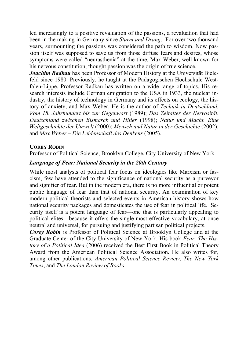led increasingly to a positive revaluation of the passions, a revaluation that had been in the making in Germany since *Sturm und Drang*. For over two thousand years, surmounting the passions was considered the path to wisdom. Now passion itself was supposed to save us from those diffuse fears and desires, whose symptoms were called "neurasthenia" at the time. Max Weber, well known for his nervous constitution, thought passion was the origin of true science.

*Joachim Radkau* has been Professor of Modern History at the Universität Bielefeld since 1980. Previously, he taught at the Pädagogischen Hochschule Westfalen-Lippe. Professor Radkau has written on a wide range of topics. His research interests include German emigration to the USA in 1933, the nuclear industry, the history of technology in Germany and its effects on ecology, the history of anxiety, and Max Weber. He is the author of *Technik in Deutschland. Vom 18. Jahrhundert bis zur Gegenwart* (1989); *Das Zeitalter der Nervosität. Deutschland zwischen Bismarck und Hitler* (1998); *Natur und Macht. Eine Weltgeschichte der Umwelt* (2000); *Mensch und Natur in der Geschichte* (2002); and *Max Weber – Die Leidenschaft des Denkens* (2005).

#### **COREY ROBIN**

Professor of Political Science, Brooklyn College, City University of New York

# *Language of Fear: National Security in the 20th Century*

While most analysts of political fear focus on ideologies like Marxism or fascism, few have attended to the significance of national security as a purveyor and signifier of fear. But in the modern era, there is no more influential or potent public language of fear than that of national security. An examination of key modern political theorists and selected events in American history shows how national security packages and domesticates the use of fear in political life. Security itself is a potent language of fear—one that is particularly appealing to political elites—because it offers the single-most effective vocabulary, at once neutral and universal, for pursuing and justifying partisan political projects.

*Corey Robin* is Professor of Political Science at Brooklyn College and at the Graduate Center of the City University of New York. His book *Fear*: *The History of a Political Idea* (2006) received the Best First Book in Political Theory Award from the American Political Science Association. He also writes for, among other publications, *American Political Science Review*, *The New York Times*, and *The London Review of Books*.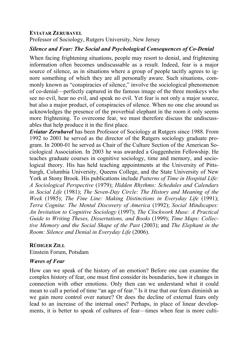#### **EVIATAR ZERUBAVEL**

Professor of Sociology, Rutgers University, New Jersey

# *Silence and Fear: The Social and Psychological Consequences of Co-Denial*

When facing frightening situations, people may resort to denial, and frightening information often becomes undiscussable as a result. Indeed, fear is a major source of silence, as in situations where a group of people tacitly agrees to ignore something of which they are all personally aware. Such situations, commonly known as "conspiracies of silence," involve the sociological phenomenon of co-denial—perfectly captured in the famous image of the three monkeys who see no evil, hear no evil, and speak no evil. Yet fear is not only a major source, but also a major product, of conspiracies of silence. When no one else around us acknowledges the presence of the proverbial elephant in the room it only seems more frightening. To overcome fear, we must therefore discuss the undiscussables that help produce it in the first place.

*Eviatar Zerubavel* has been Professor of Sociology at Rutgers since 1988. From 1992 to 2001 he served as the director of the Rutgers sociology graduate program. In 2000-01 he served as Chair of the Culture Section of the American Sociological Association. In 2003 he was awarded a Guggenheim Fellowship. He teaches graduate courses in cognitive sociology, time and memory, and sociological theory. His has held teaching appointments at the University of Pittsburgh, Columbia University, Queens College, and the State University of New York at Stony Brook. His publications include *Patterns of Time in Hospital Life: A Sociological Perspective* (1979); *Hidden Rhythms: Schedules and Calendars in Social Life* (1981); *The Seven-Day Circle: The History and Meaning of the Week* (1985); *The Fine Line: Making Distinctions in Everyday Life* (1991); *Terra Cognita: The Mental Discovery of America* (1992); *Social Mindscapes: An Invitation to Cognitive Sociology* (1997); *The Clockwork Muse: A Practical Guide to Writing Theses, Dissertations, and Books* (1999); *Time Maps: Collective Memory and the Social Shape of the Past* (2003); and *The Elephant in the Room: Silence and Denial in Everyday Life* (2006).

#### **RÜDIGER ZILL**

Einstein Forum, Potsdam

#### *Waves of Fear*

How can we speak of the history of an emotion? Before one can examine the complex history of fear, one must first consider its boundaries, how it changes in connection with other emotions. Only then can we understand what it could mean to call a period of time "an age of fear." Is it true that our fears diminish as we gain more control over nature? Or does the decline of external fears only lead to an increase of the internal ones? Perhaps, in place of linear developments, it is better to speak of cultures of fear—times when fear is more culti-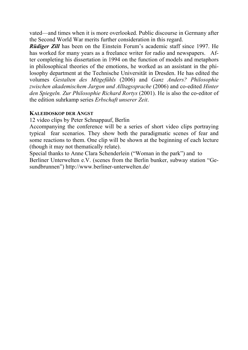vated—and times when it is more overlooked. Public discourse in Germany after the Second World War merits further consideration in this regard.

*Rüdiger Zill* has been on the Einstein Forum's academic staff since 1997. He has worked for many years as a freelance writer for radio and newspapers. After completing his dissertation in 1994 on the function of models and metaphors in philosophical theories of the emotions, he worked as an assistant in the philosophy department at the Technische Universität in Dresden. He has edited the volumes *Gestalten des Mitgefühls* (2006) and *Ganz Anders? Philosophie zwischen akademischem Jargon und Alltagssprache* (2006) and co-edited *Hinter den Spiegeln. Zur Philosophie Richard Rortys* (2001). He is also the co-editor of the edition suhrkamp series *Erbschaft unserer Zeit*.

#### **KALEIDOSKOP DER ANGST**

12 video clips by Peter Schnappauf, Berlin

Accompanying the conference will be a series of short video clips portraying typical fear scenarios. They show both the paradigmatic scenes of fear and some reactions to them. One clip will be shown at the beginning of each lecture (though it may not thematically relate).

Special thanks to Anne Clara Schenderlein ("Woman in the park") and to Berliner Unterwelten e.V. (scenes from the Berlin bunker, subway station "Gesundbrunnen") http://www.berliner-unterwelten.de/